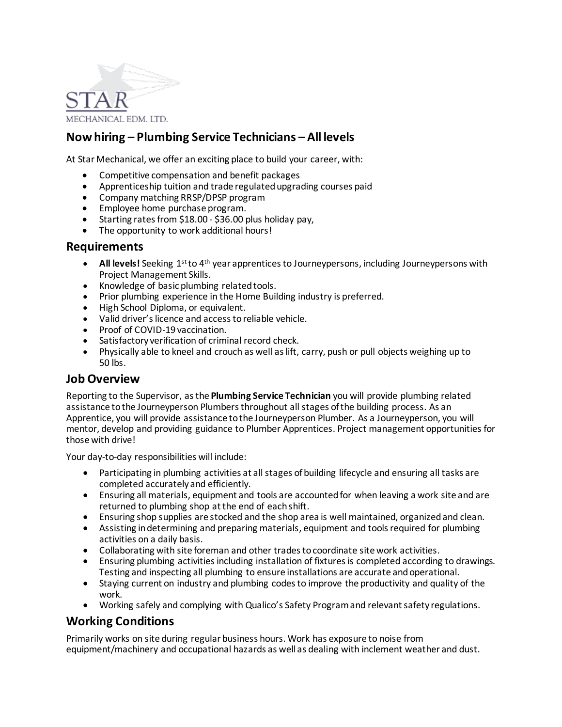

## **Now hiring – Plumbing Service Technicians – All levels**

At Star Mechanical, we offer an exciting place to build your career, with:

- Competitive compensation and benefit packages
- Apprenticeship tuition and trade regulated upgrading courses paid
- Company matching RRSP/DPSP program
- Employee home purchase program.
- Starting rates from \$18.00 \$36.00 plus holiday pay,
- The opportunity to work additional hours!

#### **Requirements**

- **All levels!** Seeking 1st to 4th year apprentices to Journeypersons, including Journeypersons with Project Management Skills.
- Knowledge of basic plumbing related tools.
- Prior plumbing experience in the Home Building industry is preferred.
- High School Diploma, or equivalent.
- Valid driver's licence and access to reliable vehicle.
- Proof of COVID-19 vaccination.
- Satisfactory verification of criminal record check.
- Physically able to kneel and crouch as well as lift, carry, push or pull objects weighing up to 50 lbs.

#### **Job Overview**

Reporting to the Supervisor, as the **Plumbing Service Technician** you will provide plumbing related assistance to the Journeyperson Plumbers throughout all stages of the building process. As an Apprentice, you will provide assistance to the Journeyperson Plumber. As a Journeyperson, you will mentor, develop and providing guidance to Plumber Apprentices. Project management opportunities for those with drive!

Your day-to-day responsibilities will include:

- Participating in plumbing activities at all stages of building lifecycle and ensuring all tasks are completed accurately and efficiently.
- Ensuring all materials, equipment and tools are accounted for when leaving a work site and are returned to plumbing shop at the end of each shift.
- Ensuring shop supplies are stocked and the shop area is well maintained, organized and clean.
- Assisting in determining and preparing materials, equipment and tools required for plumbing activities on a daily basis.
- Collaborating with site foreman and other trades to coordinate site work activities.
- Ensuring plumbing activities including installation of fixtures is completed according to drawings. Testing and inspecting all plumbing to ensure installations are accurate and operational.
- Staying current on industry and plumbing codes to improve the productivity and quality of the work.
- Working safely and complying with Qualico's Safety Program and relevant safety regulations.

### **Working Conditions**

Primarily works on site during regular business hours. Work has exposure to noise from equipment/machinery and occupational hazards as well as dealing with inclement weather and dust.